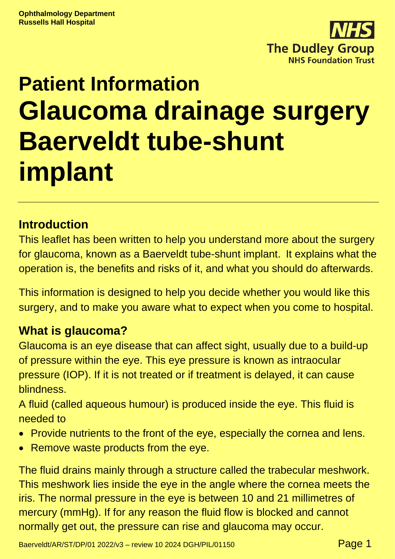

# **Patient Information Glaucoma drainage surgery Baerveldt tube-shunt implant**

# **Introduction**

This leaflet has been written to help you understand more about the surgery for glaucoma, known as a Baerveldt tube-shunt implant. It explains what the operation is, the benefits and risks of it, and what you should do afterwards.

This information is designed to help you decide whether you would like this surgery, and to make you aware what to expect when you come to hospital.

# **What is glaucoma?**

Glaucoma is an eye disease that can affect sight, usually due to a build-up of pressure within the eye. This eye pressure is known as intraocular pressure (IOP). If it is not treated or if treatment is delayed, it can cause blindness.

A fluid (called aqueous humour) is produced inside the eye. This fluid is needed to

- Provide nutrients to the front of the eye, especially the cornea and lens.
- Remove waste products from the eye.

The fluid drains mainly through a structure called the trabecular meshwork. This meshwork lies inside the eye in the angle where the cornea meets the iris. The normal pressure in the eye is between 10 and 21 millimetres of mercury (mmHg). If for any reason the fluid flow is blocked and cannot normally get out, the pressure can rise and glaucoma may occur.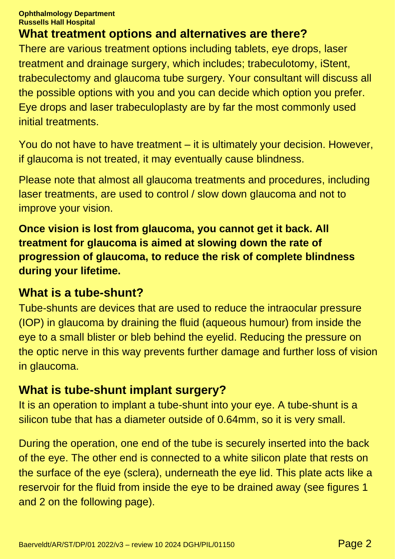# **What treatment options and alternatives are there?**

There are various treatment options including tablets, eye drops, laser treatment and drainage surgery, which includes; trabeculotomy, iStent, trabeculectomy and glaucoma tube surgery. Your consultant will discuss all the possible options with you and you can decide which option you prefer. Eye drops and laser trabeculoplasty are by far the most commonly used initial treatments.

You do not have to have treatment – it is ultimately your decision. However, if glaucoma is not treated, it may eventually cause blindness.

Please note that almost all glaucoma treatments and procedures, including laser treatments, are used to control / slow down glaucoma and not to improve your vision.

**Once vision is lost from glaucoma, you cannot get it back. All treatment for glaucoma is aimed at slowing down the rate of progression of glaucoma, to reduce the risk of complete blindness during your lifetime.**

### **What is a tube-shunt?**

Tube-shunts are devices that are used to reduce the intraocular pressure (IOP) in glaucoma by draining the fluid (aqueous humour) from inside the eye to a small blister or bleb behind the eyelid. Reducing the pressure on the optic nerve in this way prevents further damage and further loss of vision in glaucoma.

# **What is tube-shunt implant surgery?**

It is an operation to implant a tube-shunt into your eye. A tube-shunt is a silicon tube that has a diameter outside of 0.64mm, so it is very small.

During the operation, one end of the tube is securely inserted into the back of the eye. The other end is connected to a white silicon plate that rests on the surface of the eye (sclera), underneath the eye lid. This plate acts like a reservoir for the fluid from inside the eye to be drained away (see figures 1 and 2 on the following page).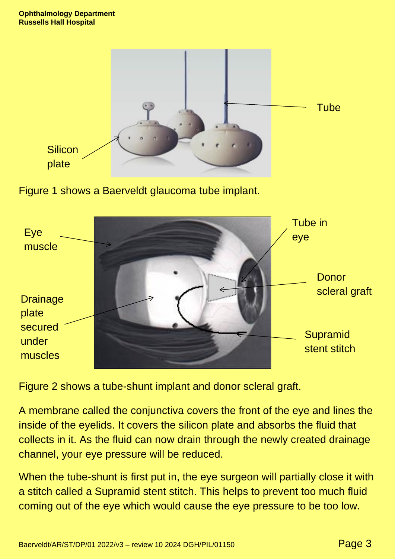

Figure 1 shows a Baerveldt glaucoma tube implant.



Figure 2 shows a tube-shunt implant and donor scleral graft.

A membrane called the conjunctiva covers the front of the eye and lines the inside of the eyelids. It covers the silicon plate and absorbs the fluid that collects in it. As the fluid can now drain through the newly created drainage channel, your eye pressure will be reduced.

When the tube-shunt is first put in, the eye surgeon will partially close it with a stitch called a Supramid stent stitch. This helps to prevent too much fluid coming out of the eye which would cause the eye pressure to be too low.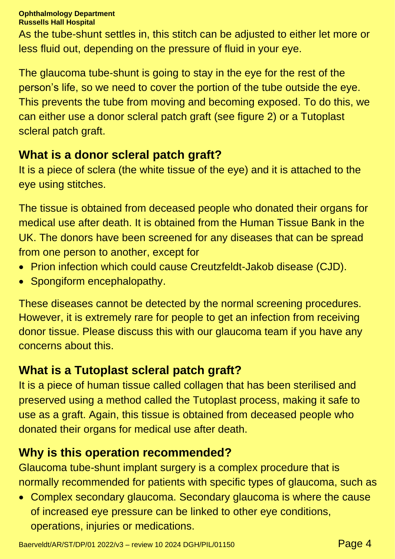As the tube-shunt settles in, this stitch can be adjusted to either let more or less fluid out, depending on the pressure of fluid in your eye.

The glaucoma tube-shunt is going to stay in the eye for the rest of the person's life, so we need to cover the portion of the tube outside the eye. This prevents the tube from moving and becoming exposed. To do this, we can either use a donor scleral patch graft (see figure 2) or a Tutoplast scleral patch graft.

### **What is a donor scleral patch graft?**

It is a piece of sclera (the white tissue of the eye) and it is attached to the eye using stitches.

The tissue is obtained from deceased people who donated their organs for medical use after death. It is obtained from the Human Tissue Bank in the UK. The donors have been screened for any diseases that can be spread from one person to another, except for

- Prion infection which could cause Creutzfeldt-Jakob disease (CJD).
- Spongiform encephalopathy.

These diseases cannot be detected by the normal screening procedures. However, it is extremely rare for people to get an infection from receiving donor tissue. Please discuss this with our glaucoma team if you have any concerns about this.

# **What is a Tutoplast scleral patch graft?**

It is a piece of human tissue called collagen that has been sterilised and preserved using a method called the Tutoplast process, making it safe to use as a graft. Again, this tissue is obtained from deceased people who donated their organs for medical use after death.

### **Why is this operation recommended?**

Glaucoma tube-shunt implant surgery is a complex procedure that is normally recommended for patients with specific types of glaucoma, such as

• Complex secondary glaucoma. Secondary glaucoma is where the cause of increased eye pressure can be linked to other eye conditions, operations, injuries or medications.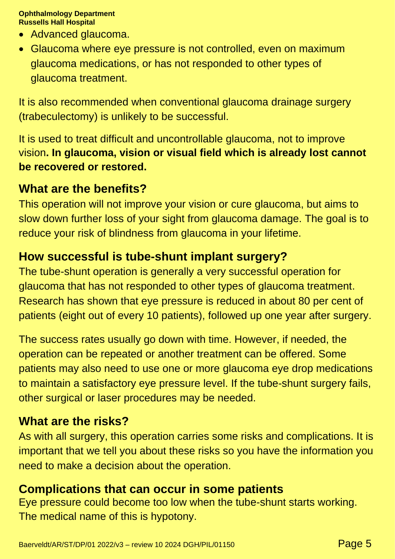- Advanced glaucoma.
- Glaucoma where eye pressure is not controlled, even on maximum glaucoma medications, or has not responded to other types of glaucoma treatment.

It is also recommended when conventional glaucoma drainage surgery (trabeculectomy) is unlikely to be successful.

It is used to treat difficult and uncontrollable glaucoma, not to improve vision**. In glaucoma, vision or visual field which is already lost cannot be recovered or restored.**

### **What are the benefits?**

This operation will not improve your vision or cure glaucoma, but aims to slow down further loss of your sight from glaucoma damage. The goal is to reduce your risk of blindness from glaucoma in your lifetime.

### **How successful is tube-shunt implant surgery?**

The tube-shunt operation is generally a very successful operation for glaucoma that has not responded to other types of glaucoma treatment. Research has shown that eye pressure is reduced in about 80 per cent of patients (eight out of every 10 patients), followed up one year after surgery.

The success rates usually go down with time. However, if needed, the operation can be repeated or another treatment can be offered. Some patients may also need to use one or more glaucoma eye drop medications to maintain a satisfactory eye pressure level. If the tube-shunt surgery fails, other surgical or laser procedures may be needed.

### **What are the risks?**

As with all surgery, this operation carries some risks and complications. It is important that we tell you about these risks so you have the information you need to make a decision about the operation.

### **Complications that can occur in some patients**

Eye pressure could become too low when the tube-shunt starts working. The medical name of this is hypotony.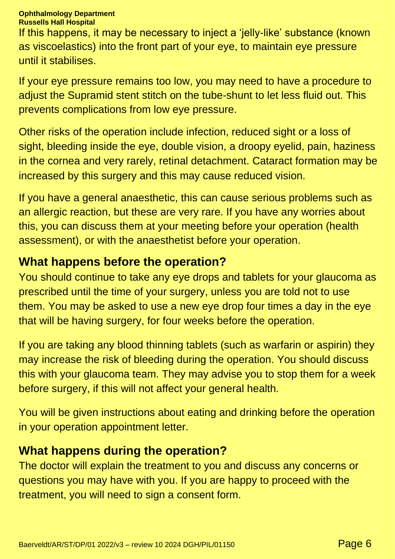### **Ophthalmology Department**

**Russells Hall Hospital**

If this happens, it may be necessary to inject a 'jelly-like' substance (known as viscoelastics) into the front part of your eye, to maintain eye pressure until it stabilises.

If your eye pressure remains too low, you may need to have a procedure to adjust the Supramid stent stitch on the tube-shunt to let less fluid out. This prevents complications from low eye pressure.

Other risks of the operation include infection, reduced sight or a loss of sight, bleeding inside the eye, double vision, a droopy eyelid, pain, haziness in the cornea and very rarely, retinal detachment. Cataract formation may be increased by this surgery and this may cause reduced vision.

If you have a general anaesthetic, this can cause serious problems such as an allergic reaction, but these are very rare. If you have any worries about this, you can discuss them at your meeting before your operation (health assessment), or with the anaesthetist before your operation.

### **What happens before the operation?**

You should continue to take any eye drops and tablets for your glaucoma as prescribed until the time of your surgery, unless you are told not to use them. You may be asked to use a new eye drop four times a day in the eye that will be having surgery, for four weeks before the operation.

If you are taking any blood thinning tablets (such as warfarin or aspirin) they may increase the risk of bleeding during the operation. You should discuss this with your glaucoma team. They may advise you to stop them for a week before surgery, if this will not affect your general health.

You will be given instructions about eating and drinking before the operation in your operation appointment letter.

### **What happens during the operation?**

The doctor will explain the treatment to you and discuss any concerns or questions you may have with you. If you are happy to proceed with the treatment, you will need to sign a consent form.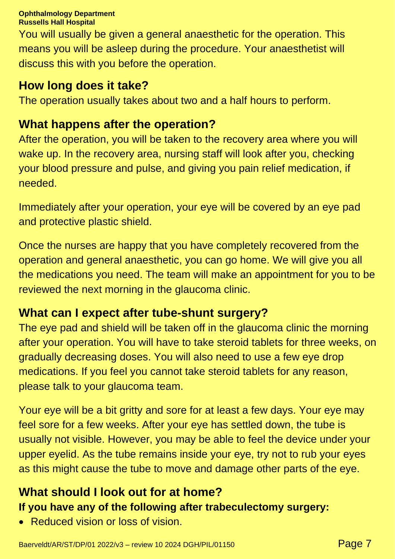You will usually be given a general anaesthetic for the operation. This means you will be asleep during the procedure. Your anaesthetist will discuss this with you before the operation.

# **How long does it take?**

The operation usually takes about two and a half hours to perform.

# **What happens after the operation?**

After the operation, you will be taken to the recovery area where you will wake up. In the recovery area, nursing staff will look after you, checking your blood pressure and pulse, and giving you pain relief medication, if needed.

Immediately after your operation, your eye will be covered by an eye pad and protective plastic shield.

Once the nurses are happy that you have completely recovered from the operation and general anaesthetic, you can go home. We will give you all the medications you need. The team will make an appointment for you to be reviewed the next morning in the glaucoma clinic.

# **What can I expect after tube-shunt surgery?**

The eye pad and shield will be taken off in the glaucoma clinic the morning after your operation. You will have to take steroid tablets for three weeks, on gradually decreasing doses. You will also need to use a few eye drop medications. If you feel you cannot take steroid tablets for any reason, please talk to your glaucoma team.

Your eye will be a bit gritty and sore for at least a few days. Your eye may feel sore for a few weeks. After your eye has settled down, the tube is usually not visible. However, you may be able to feel the device under your upper eyelid. As the tube remains inside your eye, try not to rub your eyes as this might cause the tube to move and damage other parts of the eye.

### **What should I look out for at home? If you have any of the following after trabeculectomy surgery:**

• Reduced vision or loss of vision.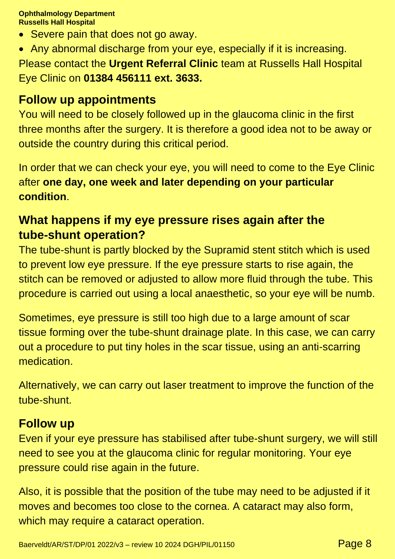- Severe pain that does not go away.
- Any abnormal discharge from your eye, especially if it is increasing. Please contact the **Urgent Referral Clinic** team at Russells Hall Hospital Eye Clinic on **01384 456111 ext. 3633.**

### **Follow up appointments**

You will need to be closely followed up in the glaucoma clinic in the first three months after the surgery. It is therefore a good idea not to be away or outside the country during this critical period.

In order that we can check your eye, you will need to come to the Eye Clinic after **one day, one week and later depending on your particular condition**.

# **What happens if my eye pressure rises again after the tube-shunt operation?**

The tube-shunt is partly blocked by the Supramid stent stitch which is used to prevent low eye pressure. If the eye pressure starts to rise again, the stitch can be removed or adjusted to allow more fluid through the tube. This procedure is carried out using a local anaesthetic, so your eye will be numb.

Sometimes, eye pressure is still too high due to a large amount of scar tissue forming over the tube-shunt drainage plate. In this case, we can carry out a procedure to put tiny holes in the scar tissue, using an anti-scarring medication.

Alternatively, we can carry out laser treatment to improve the function of the tube-shunt.

### **Follow up**

Even if your eye pressure has stabilised after tube-shunt surgery, we will still need to see you at the glaucoma clinic for regular monitoring. Your eye pressure could rise again in the future.

Also, it is possible that the position of the tube may need to be adjusted if it moves and becomes too close to the cornea. A cataract may also form, which may require a cataract operation.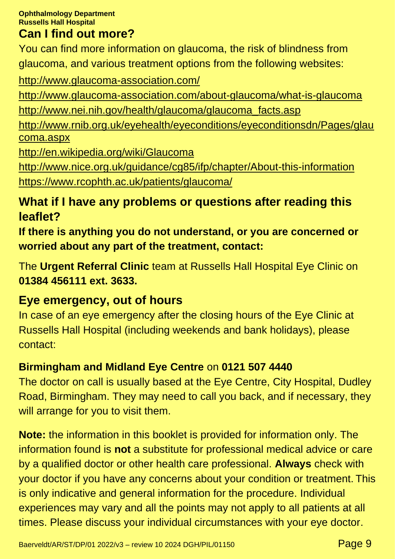### **Can I find out more?**

You can find more information on glaucoma, the risk of blindness from glaucoma, and various treatment options from the following websites:

<http://www.glaucoma-association.com/>

<http://www.glaucoma-association.com/about-glaucoma/what-is-glaucoma> [http://www.nei.nih.gov/health/glaucoma/glaucoma\\_facts.asp](http://www.nei.nih.gov/health/glaucoma/glaucoma_facts.asp)

[http://www.rnib.org.uk/eyehealth/eyeconditions/eyeconditionsdn/Pages/glau](http://www.rnib.org.uk/eyehealth/eyeconditions/eyeconditionsdn/Pages/glaucoma.aspx) [coma.aspx](http://www.rnib.org.uk/eyehealth/eyeconditions/eyeconditionsdn/Pages/glaucoma.aspx)

<http://en.wikipedia.org/wiki/Glaucoma>

<http://www.nice.org.uk/guidance/cg85/ifp/chapter/About-this-information> <https://www.rcophth.ac.uk/patients/glaucoma/>

# **What if I have any problems or questions after reading this leaflet?**

**If there is anything you do not understand, or you are concerned or worried about any part of the treatment, contact:**

The **Urgent Referral Clinic** team at Russells Hall Hospital Eye Clinic on **01384 456111 ext. 3633.**

# **Eye emergency, out of hours**

In case of an eye emergency after the closing hours of the Eye Clinic at Russells Hall Hospital (including weekends and bank holidays), please contact:

# **Birmingham and Midland Eye Centre** on **0121 507 4440**

The doctor on call is usually based at the Eye Centre, City Hospital, Dudley Road, Birmingham. They may need to call you back, and if necessary, they will arrange for you to visit them.

**Note:** the information in this booklet is provided for information only. The information found is **not** a substitute for professional medical advice or care by a qualified doctor or other health care professional. **Always** check with your doctor if you have any concerns about your condition or treatment. This is only indicative and general information for the procedure. Individual experiences may vary and all the points may not apply to all patients at all times. Please discuss your individual circumstances with your eye doctor.